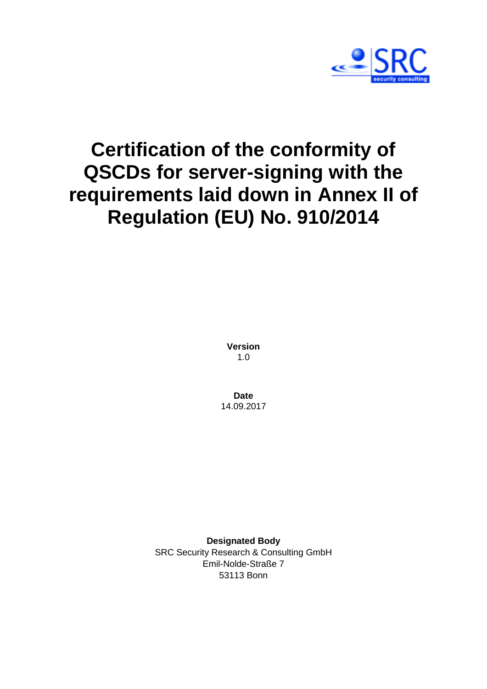

# **Certification of the conformity of QSCDs for server-signing with the requirements laid down in Annex II of Regulation (EU) No. 910/2014**

**Version** 1.0

**Date** 14.09.2017

**Designated Body** SRC Security Research & Consulting GmbH Emil-Nolde-Straße 7 53113 Bonn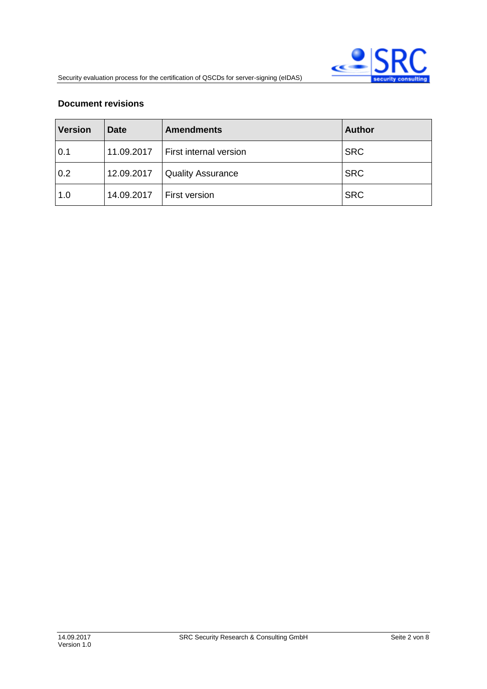#### **Document revisions**

| <b>Version</b> | <b>Date</b> | <b>Amendments</b>        | <b>Author</b> |
|----------------|-------------|--------------------------|---------------|
| 0.1            | 11.09.2017  | First internal version   | <b>SRC</b>    |
| 0.2            | 12.09.2017  | <b>Quality Assurance</b> | <b>SRC</b>    |
| 1.0            | 14.09.2017  | First version            | <b>SRC</b>    |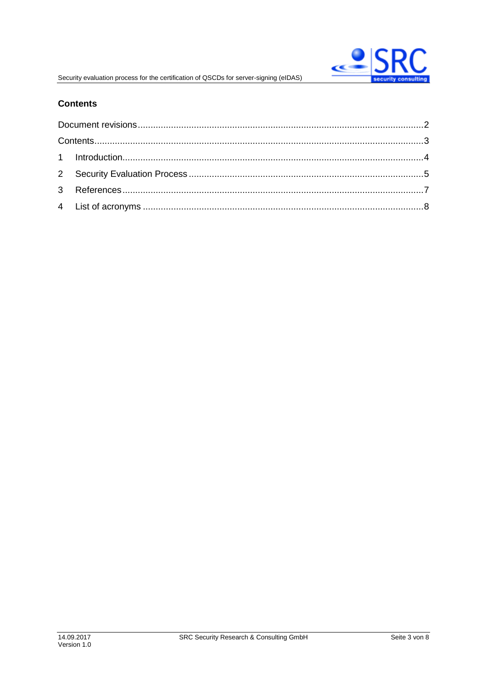

# **Contents**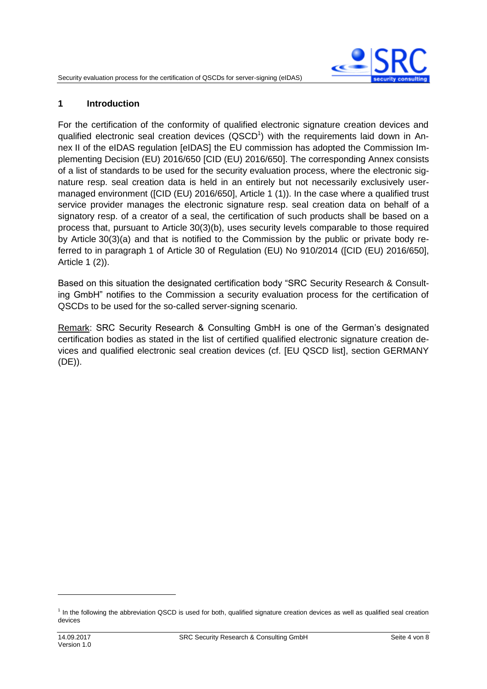

#### **1 Introduction**

For the certification of the conformity of qualified electronic signature creation devices and qualified electronic seal creation devices (QSCD<sup>1</sup>) with the requirements laid down in Annex II of the eIDAS regulation [\[eIDAS\]](#page-6-0) the EU commission has adopted the Commission Implementing Decision (EU) 2016/650 [\[CID \(EU\) 2016/650\].](#page-6-1) The corresponding Annex consists of a list of standards to be used for the security evaluation process, where the electronic signature resp. seal creation data is held in an entirely but not necessarily exclusively usermanaged environment [\(\[CID \(EU\) 2016/650\],](#page-6-1) Article 1 (1)). In the case where a qualified trust service provider manages the electronic signature resp. seal creation data on behalf of a signatory resp. of a creator of a seal, the certification of such products shall be based on a process that, pursuant to Article 30(3)(b), uses security levels comparable to those required by Article 30(3)(a) and that is notified to the Commission by the public or private body referred to in paragraph 1 of Article 30 of Regulation (EU) No 910/2014 [\(\[CID \(EU\) 2016/650\],](#page-6-1) Article 1 (2)).

Based on this situation the designated certification body "SRC Security Research & Consulting GmbH" notifies to the Commission a security evaluation process for the certification of QSCDs to be used for the so-called server-signing scenario.

Remark: SRC Security Research & Consulting GmbH is one of the German's designated certification bodies as stated in the list of certified qualified electronic signature creation devices and qualified electronic seal creation devices (cf. [\[EU QSCD list\],](#page-6-2) section GERMANY (DE)).

 $\overline{a}$ 

<sup>&</sup>lt;sup>1</sup> In the following the abbreviation QSCD is used for both, qualified signature creation devices as well as qualified seal creation devices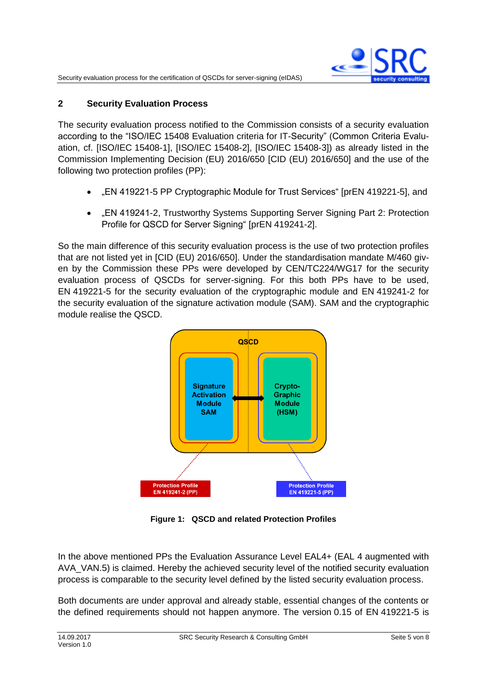

## **2 Security Evaluation Process**

The security evaluation process notified to the Commission consists of a security evaluation according to the "ISO/IEC 15408 Evaluation criteria for IT-Security" (Common Criteria Evaluation, cf. [\[ISO/IEC](#page-6-3) 15408-1], [\[ISO/IEC](#page-6-4) 15408-2], [\[ISO/IEC](#page-6-5) 15408-3]) as already listed in the Commission Implementing Decision (EU) 2016/650 [\[CID \(EU\) 2016/650\]](#page-6-1) and the use of the following two protection profiles (PP):

- "EN 419221-5 PP Cryptographic Module for Trust Services" [prEN [419221-5\],](#page-6-6) and
- EN 419241-2, Trustworthy Systems Supporting Server Signing Part 2: Protection Profile for QSCD for Server Signing" [prEN [419241-2\].](#page-6-7)

So the main difference of this security evaluation process is the use of two protection profiles that are not listed yet in [\[CID \(EU\) 2016/650\].](#page-6-1) Under the standardisation mandate M/460 given by the Commission these PPs were developed by CEN/TC224/WG17 for the security evaluation process of QSCDs for server-signing. For this both PPs have to be used, EN 419221-5 for the security evaluation of the cryptographic module and EN 419241-2 for the security evaluation of the signature activation module (SAM). SAM and the cryptographic module realise the QSCD.



**Figure 1: QSCD and related Protection Profiles**

In the above mentioned PPs the Evaluation Assurance Level EAL4+ (EAL 4 augmented with AVA\_VAN.5) is claimed. Hereby the achieved security level of the notified security evaluation process is comparable to the security level defined by the listed security evaluation process.

Both documents are under approval and already stable, essential changes of the contents or the defined requirements should not happen anymore. The version 0.15 of EN 419221-5 is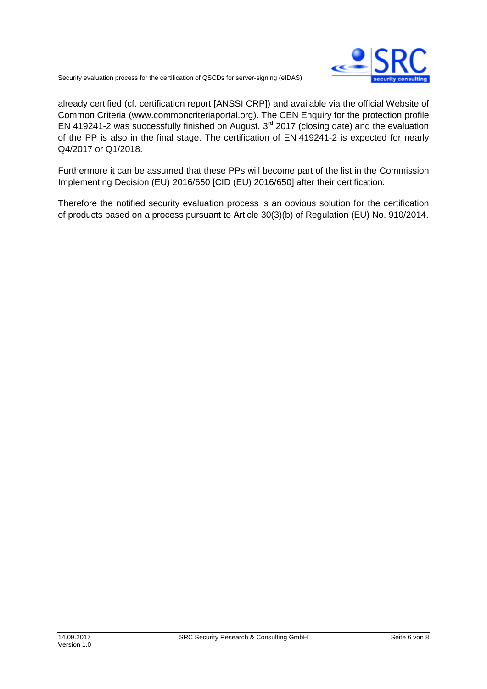

already certified (cf. certification report [\[ANSSI CRP\]\)](#page-6-8) and available via the official Website of Common Criteria (www.commoncriteriaportal.org). The CEN Enquiry for the protection profile EN 419241-2 was successfully finished on August, 3rd 2017 (closing date) and the evaluation of the PP is also in the final stage. The certification of EN 419241-2 is expected for nearly Q4/2017 or Q1/2018.

Furthermore it can be assumed that these PPs will become part of the list in the Commission Implementing Decision (EU) 2016/650 [\[CID \(EU\) 2016/650\]](#page-6-1) after their certification.

Therefore the notified security evaluation process is an obvious solution for the certification of products based on a process pursuant to Article 30(3)(b) of Regulation (EU) No. 910/2014.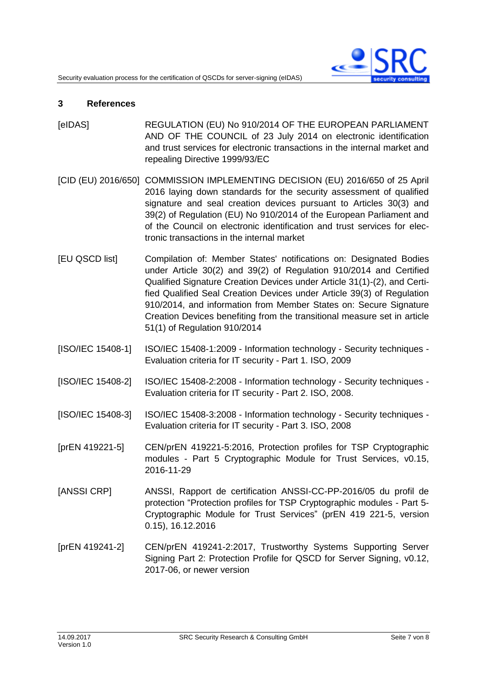

#### **3 References**

- <span id="page-6-0"></span>[eIDAS] REGULATION (EU) No 910/2014 OF THE EUROPEAN PARLIAMENT AND OF THE COUNCIL of 23 July 2014 on electronic identification and trust services for electronic transactions in the internal market and repealing Directive 1999/93/EC
- <span id="page-6-1"></span>[CID (EU) 2016/650] COMMISSION IMPLEMENTING DECISION (EU) 2016/650 of 25 April 2016 laying down standards for the security assessment of qualified signature and seal creation devices pursuant to Articles 30(3) and 39(2) of Regulation (EU) No 910/2014 of the European Parliament and of the Council on electronic identification and trust services for electronic transactions in the internal market
- <span id="page-6-2"></span>[EU QSCD list] Compilation of: Member States' notifications on: Designated Bodies under Article 30(2) and 39(2) of Regulation 910/2014 and Certified Qualified Signature Creation Devices under Article 31(1)-(2), and Certified Qualified Seal Creation Devices under Article 39(3) of Regulation 910/2014, and information from Member States on: Secure Signature Creation Devices benefiting from the transitional measure set in article 51(1) of Regulation 910/2014
- <span id="page-6-3"></span>[ISO/IEC 15408-1] ISO/IEC 15408-1:2009 - Information technology - Security techniques - Evaluation criteria for IT security - Part 1. ISO, 2009
- <span id="page-6-4"></span>[ISO/IEC 15408-2] ISO/IEC 15408-2:2008 - Information technology - Security techniques - Evaluation criteria for IT security - Part 2. ISO, 2008.
- <span id="page-6-5"></span>[ISO/IEC 15408-3] ISO/IEC 15408-3:2008 - Information technology - Security techniques - Evaluation criteria for IT security - Part 3. ISO, 2008
- <span id="page-6-6"></span>[prEN 419221-5] CEN/prEN 419221-5:2016, Protection profiles for TSP Cryptographic modules - Part 5 Cryptographic Module for Trust Services, v0.15, 2016-11-29
- <span id="page-6-8"></span>[ANSSI CRP] ANSSI, Rapport de certification ANSSI-CC-PP-2016/05 du profil de protection "Protection profiles for TSP Cryptographic modules - Part 5- Cryptographic Module for Trust Services" (prEN 419 221-5, version 0.15), 16.12.2016
- <span id="page-6-7"></span>[prEN 419241-2] CEN/prEN 419241-2:2017, Trustworthy Systems Supporting Server Signing Part 2: Protection Profile for QSCD for Server Signing, v0.12, 2017-06, or newer version